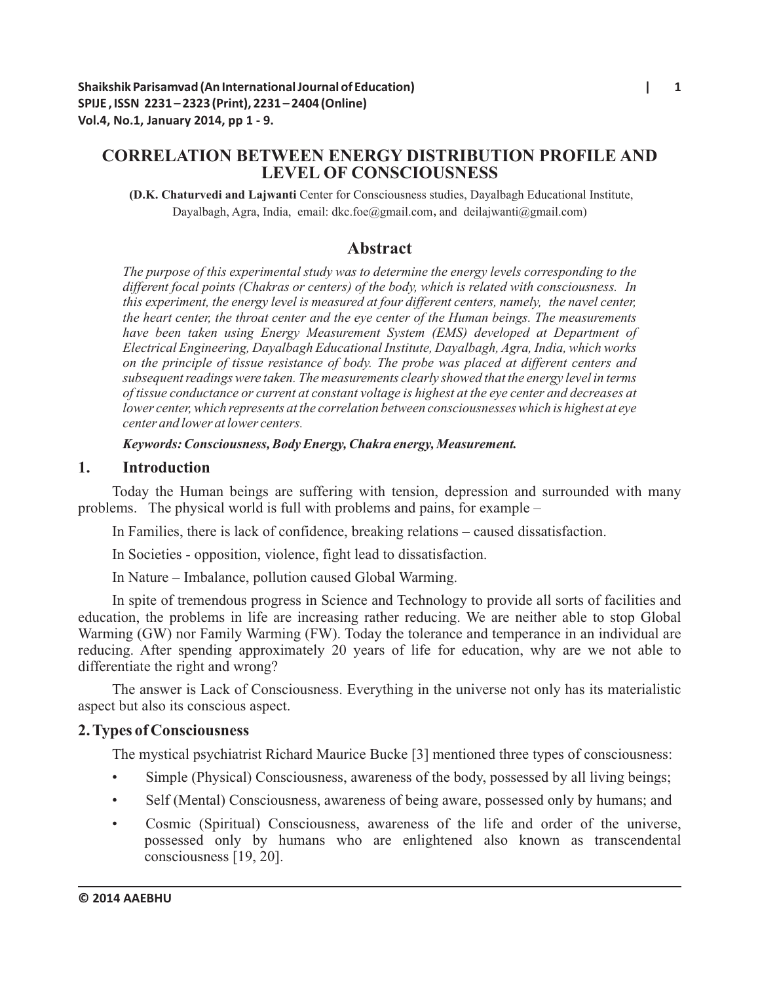# **CORRELATION BETWEEN ENERGY DISTRIBUTION PROFILE AND LEVEL OF CONSCIOUSNESS**

**(D.K. Chaturvedi and Lajwanti** Center for Consciousness studies, Dayalbagh Educational Institute, Dayalbagh, Agra, India, email: dkc.foe@gmail.com, and deilajwanti@gmail.com)

# **Abstract**

*The purpose of this experimental study was to determine the energy levels corresponding to the different focal points (Chakras or centers) of the body, which is related with consciousness. In this experiment, the energy level is measured at four different centers, namely, the navel center, the heart center, the throat center and the eye center of the Human beings. The measurements have been taken using Energy Measurement System (EMS) developed at Department of Electrical Engineering, Dayalbagh Educational Institute, Dayalbagh, Agra, India, which works on the principle of tissue resistance of body. The probe was placed at different centers and subsequent readings were taken. The measurements clearly showed that the energy level in terms of tissue conductance or current at constant voltage is highest at the eye center and decreases at lower center, which represents at the correlation between consciousnesses which is highest at eye center and lower at lower centers.* 

*Keywords: Consciousness, Body Energy, Chakra energy, Measurement.* 

## **1. Introduction**

Today the Human beings are suffering with tension, depression and surrounded with many problems. The physical world is full with problems and pains, for example –

In Families, there is lack of confidence, breaking relations – caused dissatisfaction.

In Societies - opposition, violence, fight lead to dissatisfaction.

In Nature – Imbalance, pollution caused Global Warming.

In spite of tremendous progress in Science and Technology to provide all sorts of facilities and education, the problems in life are increasing rather reducing. We are neither able to stop Global Warming (GW) nor Family Warming (FW). Today the tolerance and temperance in an individual are reducing. After spending approximately 20 years of life for education, why are we not able to differentiate the right and wrong?

The answer is Lack of Consciousness. Everything in the universe not only has its materialistic aspect but also its conscious aspect.

# **2. Types of Consciousness**

The mystical psychiatrist Richard Maurice Bucke [3] mentioned three types of consciousness:

- Simple (Physical) Consciousness, awareness of the body, possessed by all living beings;
- Self (Mental) Consciousness, awareness of being aware, possessed only by humans; and
- Cosmic (Spiritual) Consciousness, awareness of the life and order of the universe, possessed only by humans who are enlightened also known as transcendental consciousness [19, 20].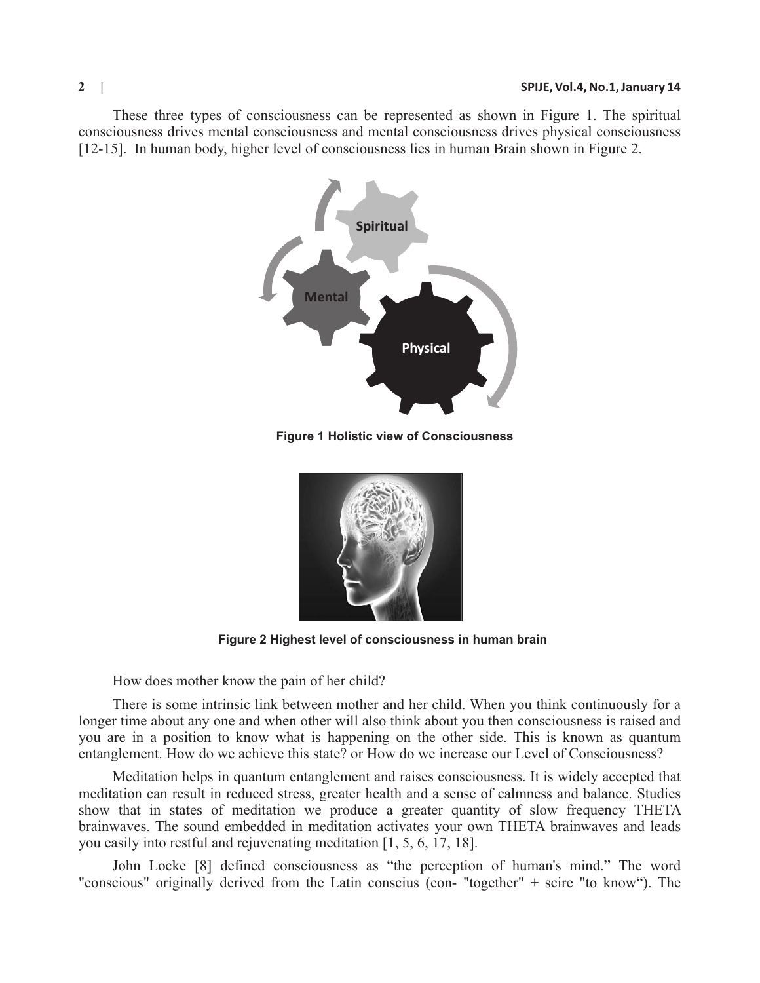These three types of consciousness can be represented as shown in Figure 1. The spiritual consciousness drives mental consciousness and mental consciousness drives physical consciousness [12-15]. In human body, higher level of consciousness lies in human Brain shown in Figure 2.



**Figure 1 Holistic view of Consciousness**



**Figure 2 Highest level of consciousness in human brain**

How does mother know the pain of her child?

There is some intrinsic link between mother and her child. When you think continuously for a longer time about any one and when other will also think about you then consciousness is raised and you are in a position to know what is happening on the other side. This is known as quantum entanglement. How do we achieve this state? or How do we increase our Level of Consciousness?

Meditation helps in quantum entanglement and raises consciousness. It is widely accepted that meditation can result in reduced stress, greater health and a sense of calmness and balance. Studies show that in states of meditation we produce a greater quantity of slow frequency THETA brainwaves. The sound embedded in meditation activates your own THETA brainwaves and leads you easily into restful and rejuvenating meditation [1, 5, 6, 17, 18].

John Locke [8] defined consciousness as "the perception of human's mind." The word "conscious" originally derived from the Latin conscius (con- "together" + scire "to know"). The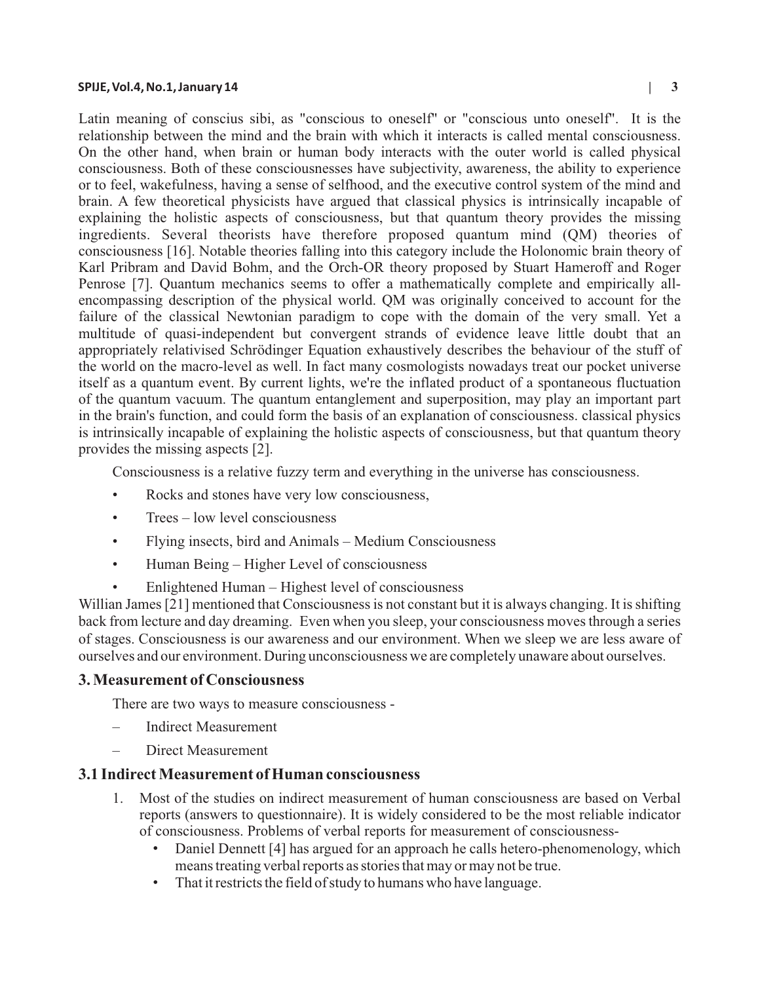#### **SPIJE, Vol.4, No.1, January 14 | 3**

Latin meaning of conscius sibi, as "conscious to oneself" or "conscious unto oneself". It is the relationship between the mind and the brain with which it interacts is called mental consciousness. On the other hand, when brain or human body interacts with the outer world is called physical consciousness. Both of these consciousnesses have subjectivity, awareness, the ability to experience or to feel, wakefulness, having a sense of selfhood, and the executive control system of the mind and brain. A few theoretical physicists have argued that classical physics is intrinsically incapable of explaining the holistic aspects of consciousness, but that quantum theory provides the missing ingredients. Several theorists have therefore proposed quantum mind (QM) theories of consciousness [16]. Notable theories falling into this category include the Holonomic brain theory of Karl Pribram and David Bohm, and the Orch-OR theory proposed by Stuart Hameroff and Roger Penrose [7]. Quantum mechanics seems to offer a mathematically complete and empirically allencompassing description of the physical world. QM was originally conceived to account for the failure of the classical Newtonian paradigm to cope with the domain of the very small. Yet a multitude of quasi-independent but convergent strands of evidence leave little doubt that an appropriately relativised Schrödinger Equation exhaustively describes the behaviour of the stuff of the world on the macro-level as well. In fact many cosmologists nowadays treat our pocket universe itself as a quantum event. By current lights, we're the inflated product of a spontaneous fluctuation of the quantum vacuum. The quantum entanglement and superposition, may play an important part in the brain's function, and could form the basis of an explanation of consciousness. classical physics is intrinsically incapable of explaining the holistic aspects of consciousness, but that quantum theory provides the missing aspects [2].

Consciousness is a relative fuzzy term and everything in the universe has consciousness.

- Rocks and stones have very low consciousness,
- Trees low level consciousness
- Flying insects, bird and Animals Medium Consciousness
- Human Being Higher Level of consciousness
- Enlightened Human Highest level of consciousness

Willian James [21] mentioned that Consciousness is not constant but it is always changing. It is shifting back from lecture and day dreaming. Even when you sleep, your consciousness moves through a series of stages. Consciousness is our awareness and our environment. When we sleep we are less aware of ourselves and our environment. During unconsciousness we are completely unaware about ourselves.

## **3. Measurement of Consciousness**

There are two ways to measure consciousness -

- Indirect Measurement
- Direct Measurement

# **3.1 Indirect Measurement of Human consciousness**

- 1. Most of the studies on indirect measurement of human consciousness are based on Verbal reports (answers to questionnaire). It is widely considered to be the most reliable indicator of consciousness. Problems of verbal reports for measurement of consciousness-
	- Daniel Dennett [4] has argued for an approach he calls hetero-phenomenology, which means treating verbal reports as stories that may or may not be true.
	- That it restricts the field of study to humans who have language.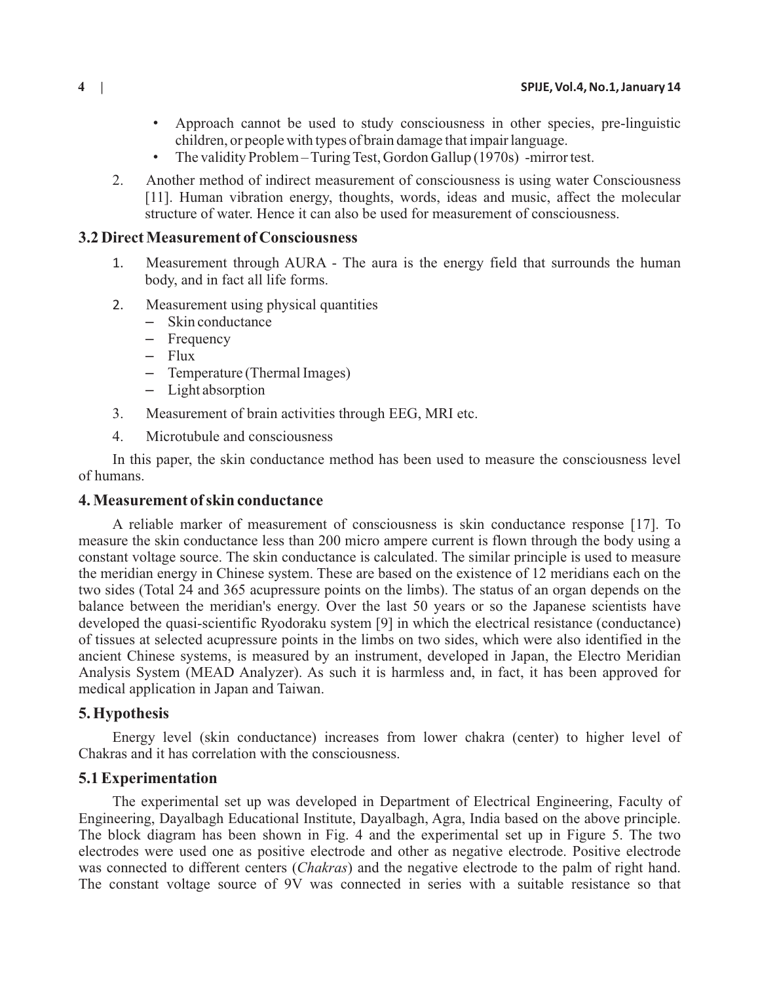- Approach cannot be used to study consciousness in other species, pre-linguistic children, or people with types of brain damage that impair language.
- The validity Problem Turing Test, Gordon Gallup (1970s) -mirror test.
- 2. Another method of indirect measurement of consciousness is using water Consciousness [11]. Human vibration energy, thoughts, words, ideas and music, affect the molecular structure of water. Hence it can also be used for measurement of consciousness.

## **3.2 Direct Measurement of Consciousness**

- 1. Measurement through AURA The aura is the energy field that surrounds the human body, and in fact all life forms.
- 2. Measurement using physical quantities
	- Skin conductance
	- Frequency
	- Flux
	- Temperature (Thermal Images)
	- Light absorption
- 3. Measurement of brain activities through EEG, MRI etc.
- 4. Microtubule and consciousness

In this paper, the skin conductance method has been used to measure the consciousness level of humans.

#### **4. Measurement of skin conductance**

A reliable marker of measurement of consciousness is skin conductance response [17]. To measure the skin conductance less than 200 micro ampere current is flown through the body using a constant voltage source. The skin conductance is calculated. The similar principle is used to measure the meridian energy in Chinese system. These are based on the existence of 12 meridians each on the two sides (Total 24 and 365 acupressure points on the limbs). The status of an organ depends on the balance between the meridian's energy. Over the last 50 years or so the Japanese scientists have developed the quasi-scientific Ryodoraku system [9] in which the electrical resistance (conductance) of tissues at selected acupressure points in the limbs on two sides, which were also identified in the ancient Chinese systems, is measured by an instrument, developed in Japan, the Electro Meridian Analysis System (MEAD Analyzer). As such it is harmless and, in fact, it has been approved for medical application in Japan and Taiwan.

## **5. Hypothesis**

Energy level (skin conductance) increases from lower chakra (center) to higher level of Chakras and it has correlation with the consciousness.

## **5.1 Experimentation**

The experimental set up was developed in Department of Electrical Engineering, Faculty of Engineering, Dayalbagh Educational Institute, Dayalbagh, Agra, India based on the above principle. The block diagram has been shown in Fig. 4 and the experimental set up in Figure 5. The two electrodes were used one as positive electrode and other as negative electrode. Positive electrode was connected to different centers (*Chakras*) and the negative electrode to the palm of right hand. The constant voltage source of 9V was connected in series with a suitable resistance so that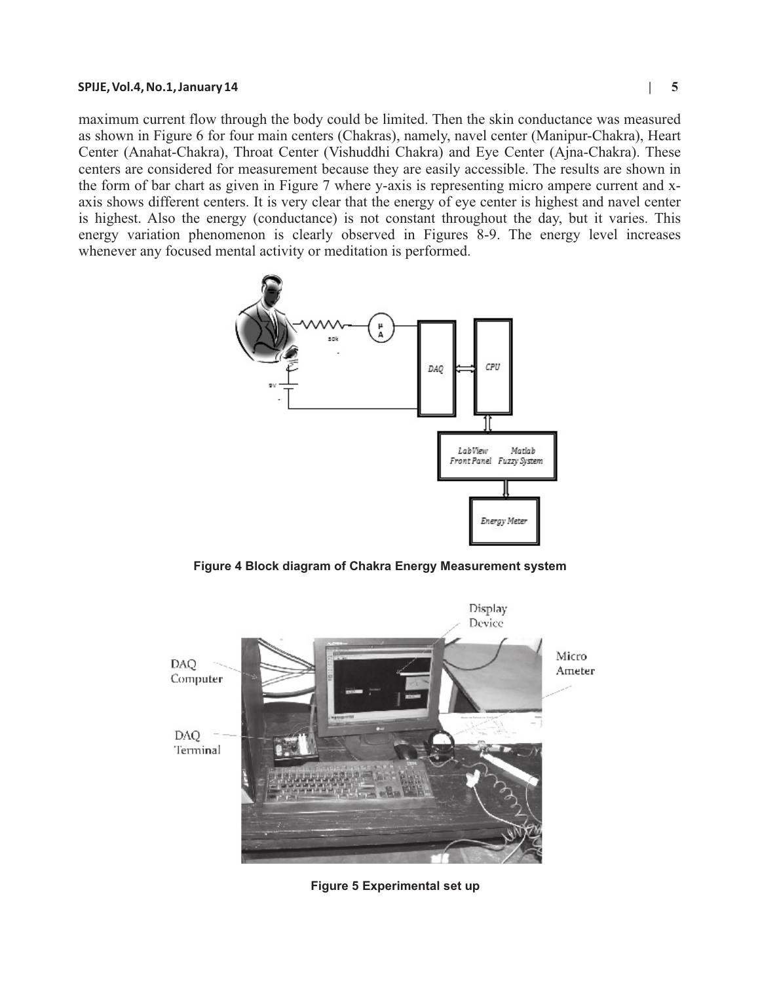#### **SPIJE, Vol.4, No.1, January 14 | 5**

maximum current flow through the body could be limited. Then the skin conductance was measured as shown in Figure 6 for four main centers (Chakras), namely, navel center (Manipur-Chakra), Heart Center (Anahat-Chakra), Throat Center (Vishuddhi Chakra) and Eye Center (Ajna-Chakra). These centers are considered for measurement because they are easily accessible. The results are shown in the form of bar chart as given in Figure 7 where y-axis is representing micro ampere current and xaxis shows different centers. It is very clear that the energy of eye center is highest and navel center is highest. Also the energy (conductance) is not constant throughout the day, but it varies. This energy variation phenomenon is clearly observed in Figures 8-9. The energy level increases whenever any focused mental activity or meditation is performed.



**Figure 4 Block diagram of Chakra Energy Measurement system**



**Figure 5 Experimental set up**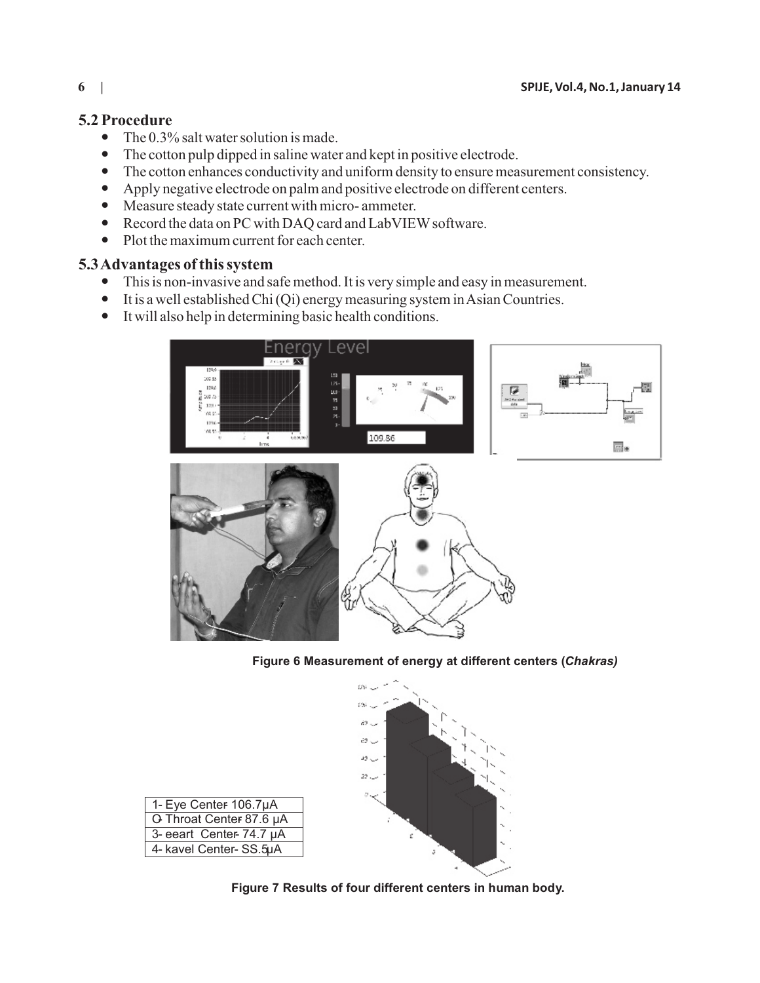# **5.2 Procedure**

- The 0.3% salt water solution is made.
- The cotton pulp dipped in saline water and kept in positive electrode.
- The cotton enhances conductivity and uniform density to ensure measurement consistency.
- Apply negative electrode on palm and positive electrode on different centers.
- Measure steady state current with micro- ammeter.
- Record the data on PC with DAQ card and LabVIEW software.
- Plot the maximum current for each center.

# **5.3 Advantages of this system**

- This is non-invasive and safe method. It is very simple and easy in measurement.
- It is a well established Chi (Qi) energy measuring system in Asian Countries.
- It will also help in determining basic health conditions.



**Figure 6 Measurement of energy at different centers (***Chakras)*



| 1- Eye Center 106.7µA    |
|--------------------------|
| O Throat Center 87.6 µA  |
| 3- eeart Center- 74.7 µA |
| 4- kavel Center- SS.5µA  |

**Figure 7 Results of four different centers in human body.**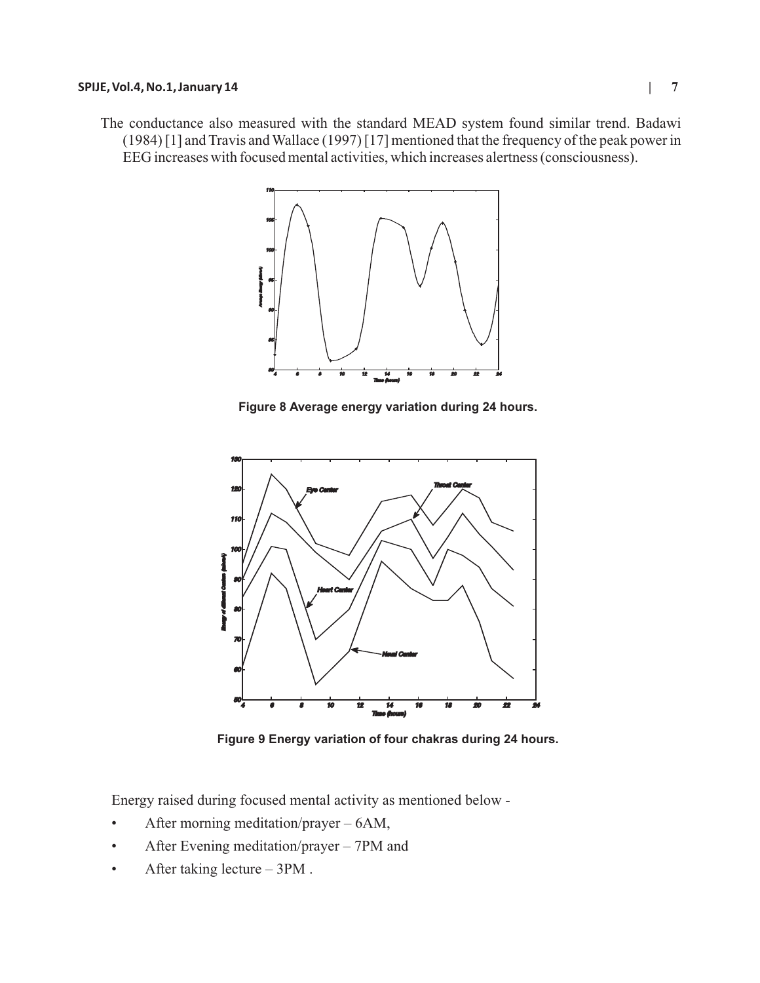#### **SPIJE, Vol.4, No.1, January 14 | 7**

The conductance also measured with the standard MEAD system found similar trend. Badawi (1984) [1] and Travis and Wallace (1997) [17] mentioned that the frequency of the peak power in EEG increases with focused mental activities, which increases alertness (consciousness).



**Figure 8 Average energy variation during 24 hours.**



**Figure 9 Energy variation of four chakras during 24 hours.**

Energy raised during focused mental activity as mentioned below -

- After morning meditation/prayer 6AM,
- After Evening meditation/prayer 7PM and
- After taking lecture 3PM.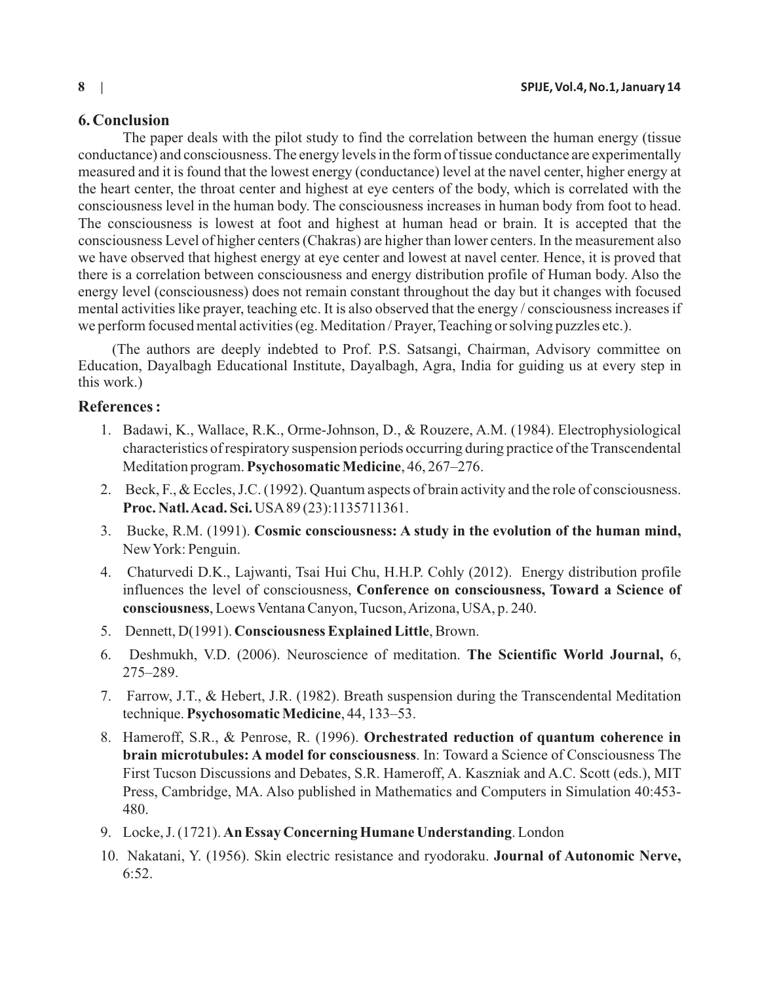# **6. Conclusion**

The paper deals with the pilot study to find the correlation between the human energy (tissue conductance) and consciousness. The energy levels in the form of tissue conductance are experimentally measured and it is found that the lowest energy (conductance) level at the navel center, higher energy at the heart center, the throat center and highest at eye centers of the body, which is correlated with the consciousness level in the human body. The consciousness increases in human body from foot to head. The consciousness is lowest at foot and highest at human head or brain. It is accepted that the consciousness Level of higher centers (Chakras) are higher than lower centers. In the measurement also we have observed that highest energy at eye center and lowest at navel center. Hence, it is proved that there is a correlation between consciousness and energy distribution profile of Human body. Also the energy level (consciousness) does not remain constant throughout the day but it changes with focused mental activities like prayer, teaching etc. It is also observed that the energy / consciousness increases if we perform focused mental activities (eg. Meditation / Prayer, Teaching or solving puzzles etc.).

(The authors are deeply indebted to Prof. P.S. Satsangi, Chairman, Advisory committee on Education, Dayalbagh Educational Institute, Dayalbagh, Agra, India for guiding us at every step in this work.)

# **References :**

- 1. Badawi, K., Wallace, R.K., Orme-Johnson, D., & Rouzere, A.M. (1984). Electrophysiological characteristics of respiratory suspension periods occurring during practice of the Transcendental Meditation program. **Psychosomatic Medicine**, 46, 267–276.
- 2. Beck, F., & Eccles, J.C. (1992). Quantum aspects of brain activity and the role of consciousness. **Proc. Natl. Acad. Sci.** USA89 (23):1135711361.
- 3. Bucke, R.M. (1991). **Cosmic consciousness: A study in the evolution of the human mind,** New York: Penguin.
- 4. Chaturvedi D.K., Lajwanti, Tsai Hui Chu, H.H.P. Cohly (2012). Energy distribution profile influences the level of consciousness, **Conference on consciousness, Toward a Science of consciousness**, Loews Ventana Canyon, Tucson, Arizona, USA, p. 240.
- 5. Dennett, D(1991). **Consciousness Explained Little**, Brown.
- 6. Deshmukh, V.D. (2006). Neuroscience of meditation. **The Scientific World Journal,** 6, 275–289.
- 7. Farrow, J.T., & Hebert, J.R. (1982). Breath suspension during the Transcendental Meditation technique. **Psychosomatic Medicine**, 44, 133–53.
- 8. Hameroff, S.R., & Penrose, R. (1996). **Orchestrated reduction of quantum coherence in brain microtubules: A model for consciousness**. In: Toward a Science of Consciousness The First Tucson Discussions and Debates, S.R. Hameroff, A. Kaszniak and A.C. Scott (eds.), MIT Press, Cambridge, MA. Also published in Mathematics and Computers in Simulation 40:453- 480.
- 9. Locke, J. (1721). **An Essay Concerning Humane Understanding**. London
- 10. Nakatani, Y. (1956). Skin electric resistance and ryodoraku. **Journal of Autonomic Nerve,** 6:52.